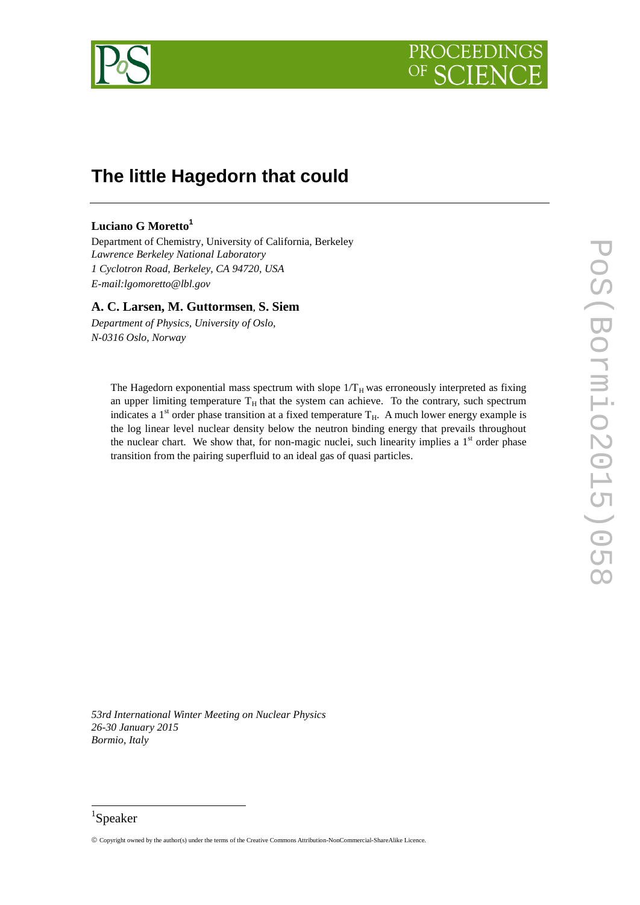



# **The little Hagedorn that could**

# **Luciano G Moretto<sup>1</sup>**

Department of Chemistry, University of California, Berkeley *Lawrence Berkeley National Laboratory 1 Cyclotron Road, Berkeley, CA 94720, USA E-mail:lgomoretto@lbl.gov*

# **A. C. Larsen, M. Guttormsen, S. Siem**

*Department of Physics, University of Oslo, N-0316 Oslo, Norway*

> The Hagedorn exponential mass spectrum with slope  $1/T_H$  was erroneously interpreted as fixing an upper limiting temperature  $T_H$  that the system can achieve. To the contrary, such spectrum indicates a 1<sup>st</sup> order phase transition at a fixed temperature  $T_H$ . A much lower energy example is the log linear level nuclear density below the neutron binding energy that prevails throughout the nuclear chart. We show that, for non-magic nuclei, such linearity implies a  $1<sup>st</sup>$  order phase transition from the pairing superfluid to an ideal gas of quasi particles.

*53rd International Winter Meeting on Nuclear Physics 26-30 January 2015 Bormio, Italy*

# 1 Speaker

1

<sup>©</sup> Copyright owned by the author(s) under the terms of the Creative Commons Attribution-NonCommercial-ShareAlike Licence.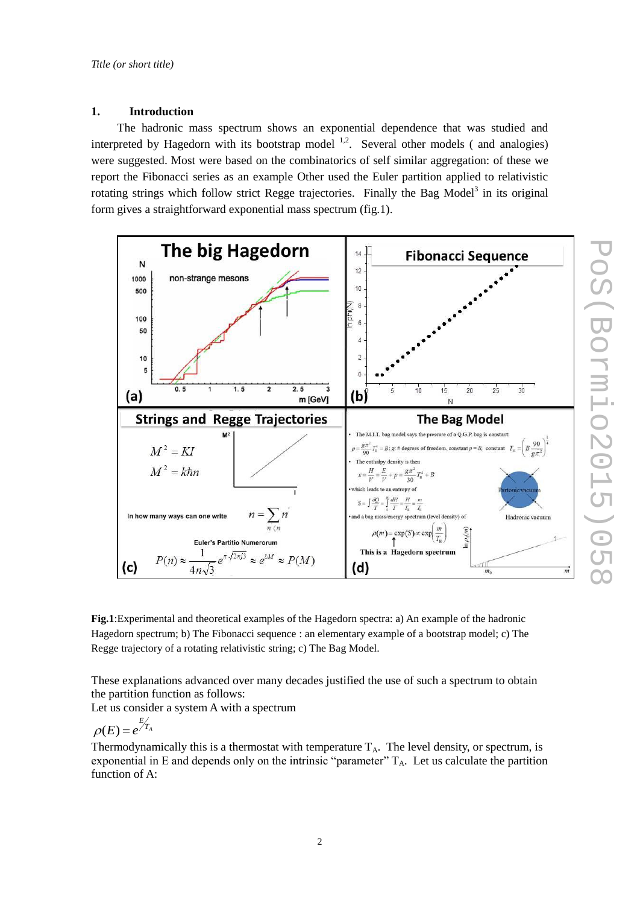# **1. Introduction**

The hadronic mass spectrum shows an exponential dependence that was studied and interpreted by Hagedorn with its bootstrap model  $1,2$ . Several other models (and analogies) were suggested. Most were based on the combinatorics of self similar aggregation: of these we report the Fibonacci series as an example Other used the Euler partition applied to relativistic rotating strings which follow strict Regge trajectories. Finally the Bag Model<sup>3</sup> in its original form gives a straightforward exponential mass spectrum (fig.1).



PoS (Bormio2015 PoS(Bormio2015)058

**Fig.1**:Experimental and theoretical examples of the Hagedorn spectra: a) An example of the hadronic Hagedorn spectrum; b) The Fibonacci sequence : an elementary example of a bootstrap model; c) The Regge trajectory of a rotating relativistic string; c) The Bag Model.

These explanations advanced over many decades justified the use of such a spectrum to obtain the partition function as follows:

Let us consider a system A with a spectrum

$$
\rho(E) = e^{\frac{E}{T_A}}
$$

Thermodynamically this is a thermostat with temperature  $T_A$ . The level density, or spectrum, is exponential in E and depends only on the intrinsic "parameter"  $T_A$ . Let us calculate the partition function of A: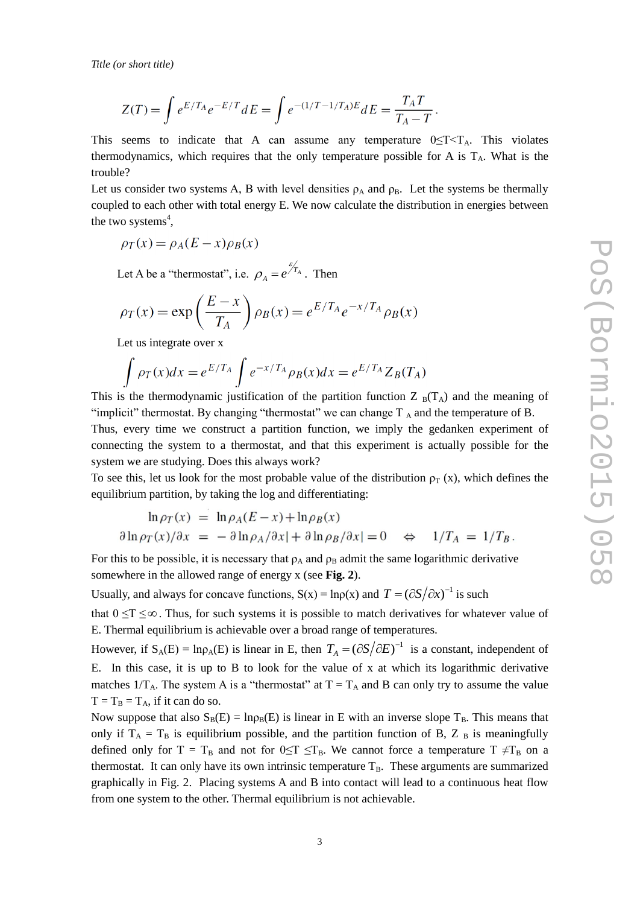$$
Z(T) = \int e^{E/T_A} e^{-E/T} dE = \int e^{-(1/T - 1/T_A)E} dE = \frac{T_A T}{T_A - T}.
$$

This seems to indicate that A can assume any temperature  $0 \leq T \leq T_A$ . This violates thermodynamics, which requires that the only temperature possible for A is  $T_A$ . What is the trouble?

Let us consider two systems A, B with level densities  $\rho_A$  and  $\rho_B$ . Let the systems be thermally coupled to each other with total energy E. We now calculate the distribution in energies between the two systems<sup>4</sup>,

$$
\rho_T(x) = \rho_A(E - x)\rho_B(x)
$$

Let A be a "thermostat", i.e.  $\rho_A = e^{\frac{\mathscr{E}_{T_A}}{\mathscr{A}}}$ . Then

$$
\rho_T(x) = \exp\left(\frac{E - x}{T_A}\right) \rho_B(x) = e^{E/T_A} e^{-x/T_A} \rho_B(x)
$$

Let us integrate over x

$$
\int \rho_T(x)dx = e^{E/T_A} \int e^{-x/T_A} \rho_B(x)dx = e^{E/T_A} Z_B(T_A)
$$

This is the thermodynamic justification of the partition function  $Z_{B}(T_{A})$  and the meaning of "implicit" thermostat. By changing "thermostat" we can change  $T_A$  and the temperature of B. Thus, every time we construct a partition function, we imply the gedanken experiment of connecting the system to a thermostat, and that this experiment is actually possible for the system we are studying. Does this always work?

To see this, let us look for the most probable value of the distribution  $\rho$ <sub>T</sub> (x), which defines the equilibrium partition, by taking the log and differentiating:

$$
\ln \rho_T(x) = \ln \rho_A (E - x) + \ln \rho_B(x)
$$
  

$$
\partial \ln \rho_T(x) / \partial x = - \partial \ln \rho_A / \partial x | + \partial \ln \rho_B / \partial x | = 0 \quad \Leftrightarrow \quad 1/T_A = 1/T_B.
$$

For this to be possible, it is necessary that  $\rho_A$  and  $\rho_B$  admit the same logarithmic derivative somewhere in the allowed range of energy x (see **Fig. 2**).

Usually, and always for concave functions,  $S(x) = \ln \rho(x)$  and  $T = (\partial S / \partial x)^{-1}$  is such

that  $0 \le T \le \infty$ . Thus, for such systems it is possible to match derivatives for whatever value of E. Thermal equilibrium is achievable over a broad range of temperatures.

However, if  $S_A(E) = \ln \rho_A(E)$  is linear in E, then  $T_A = (\partial S / \partial E)^{-1}$  is a constant, independent of E. In this case, it is up to B to look for the value of x at which its logarithmic derivative matches  $1/T_A$ . The system A is a "thermostat" at  $T = T_A$  and B can only try to assume the value  $T = T_B = T_A$ , if it can do so.

Now suppose that also  $S_B(E) = \ln p_B(E)$  is linear in E with an inverse slope  $T_B$ . This means that only if  $T_A = T_B$  is equilibrium possible, and the partition function of B, Z  $_B$  is meaningfully defined only for  $T = T_B$  and not for  $0 \le T \le T_B$ . We cannot force a temperature  $T \ne T_B$  on a thermostat. It can only have its own intrinsic temperature  $T_B$ . These arguments are summarized graphically in Fig. 2. Placing systems A and B into contact will lead to a continuous heat flow from one system to the other. Thermal equilibrium is not achievable.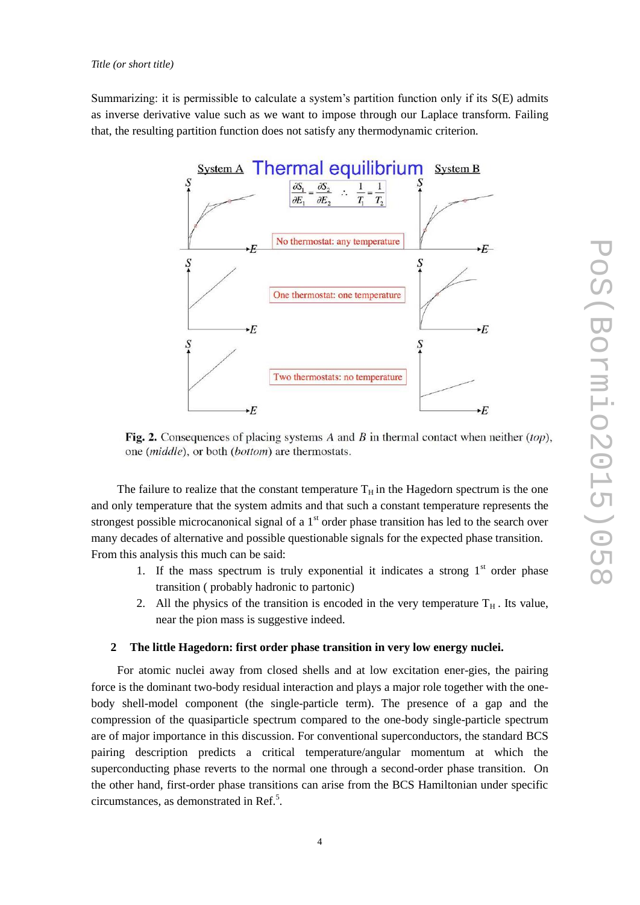Summarizing: it is permissible to calculate a system's partition function only if its S(E) admits as inverse derivative value such as we want to impose through our Laplace transform. Failing that, the resulting partition function does not satisfy any thermodynamic criterion.



Fig. 2. Consequences of placing systems A and B in thermal contact when neither  $(top)$ , one (middle), or both (bottom) are thermostats.

The failure to realize that the constant temperature  $T_H$  in the Hagedorn spectrum is the one and only temperature that the system admits and that such a constant temperature represents the strongest possible microcanonical signal of a  $1<sup>st</sup>$  order phase transition has led to the search over many decades of alternative and possible questionable signals for the expected phase transition. From this analysis this much can be said:

- 1. If the mass spectrum is truly exponential it indicates a strong  $1<sup>st</sup>$  order phase transition ( probably hadronic to partonic)
- 2. All the physics of the transition is encoded in the very temperature  $T_H$ . Its value, near the pion mass is suggestive indeed.

## <span id="page-3-0"></span>**2 The little Hagedorn: first order phase transition in very low energy nuclei.**

For atomic nuclei away from closed shells and at low excitation ener-gies, the pairing force is the dominant two-body residual interaction and plays a major role together with the onebody shell-model component (the single-particle term). The presence of a gap and the compression of the quasiparticle spectrum compared to the one-body single-particle spectrum are of major importance in this discussion. For conventional superconductors, the standard BCS pairing description predicts a critical temperature/angular momentum at which the superconducting phase reverts to the normal one through a second-order phase transition. On the other hand, first-order phase transitions can arise from the BCS Hamiltonian under specific circumstances, as demonstrated in Ref.<sup>5</sup>.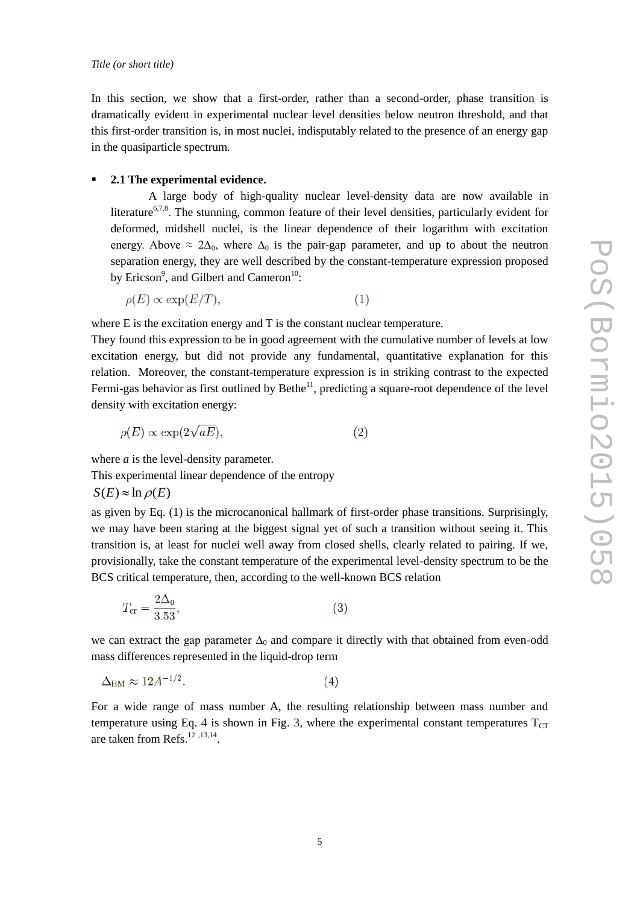In this section, we show that a first-order, rather than a second-order, phase transition is dramatically evident in experimental nuclear level densities below neutron threshold, and that this first-order transition is, in most nuclei, indisputably related to the presence of an energy gap in the quasiparticle spectrum.

#### **2.1 The experimental evidence.**

<span id="page-4-0"></span>A large body of high-quality nuclear level-density data are now available in literature<sup>6,7,8</sup>. The stunning, common feature of their level densities, particularly evident for deformed, midshell nuclei, is the linear dependence of their logarithm with excitation energy. Above  $\approx 2\Delta_0$ , where  $\Delta_0$  is the pair-gap parameter, and up to about the neutron separation energy, they are well described by the constant-temperature expression proposed by Ericson<sup>9</sup>, and Gilbert and Cameron<sup>10</sup>:

 $\rho(E) \propto \exp(E/T)$ ,  $(1)$ 

where E is the excitation energy and T is the constant nuclear temperature.

They found this expression to be in good agreement with the cumulative number of levels at low excitation energy, but did not provide any fundamental, quantitative explanation for this relation. Moreover, the constant-temperature expression is in striking contrast to the expected Fermi-gas behavior as first outlined by Bethe<sup>11</sup>, predicting a square-root dependence of the level density with excitation energy:

$$
\rho(E) \propto \exp(2\sqrt{aE}),\tag{2}
$$

where *a* is the level-density parameter.

This experimental linear dependence of the entropy

 $S(E) \approx \ln \rho(E)$ 

as given by Eq. (1) is the microcanonical hallmark of first-order phase transitions. Surprisingly, we may have been staring at the biggest signal yet of such a transition without seeing it. This transition is, at least for nuclei well away from closed shells, clearly related to pairing. If we, provisionally, take the constant temperature of the experimental level-density spectrum to be the BCS critical temperature, then, according to the well-known BCS relation

$$
T_{\rm cr} = \frac{2\Delta_0}{3.53},\tag{3}
$$

we can extract the gap parameter  $\Delta_0$  and compare it directly with that obtained from even-odd mass differences represented in the liquid-drop term

<span id="page-4-1"></span>
$$
\Delta_{\rm BM} \approx 12A^{-1/2}.\tag{4}
$$

For a wide range of mass number A, the resulting relationship between mass number and temperature using Eq. 4 is shown in Fig. 3, where the experimental constant temperatures  $T_{CT}$ are taken from Refs.<sup>12</sup>, 13, 14.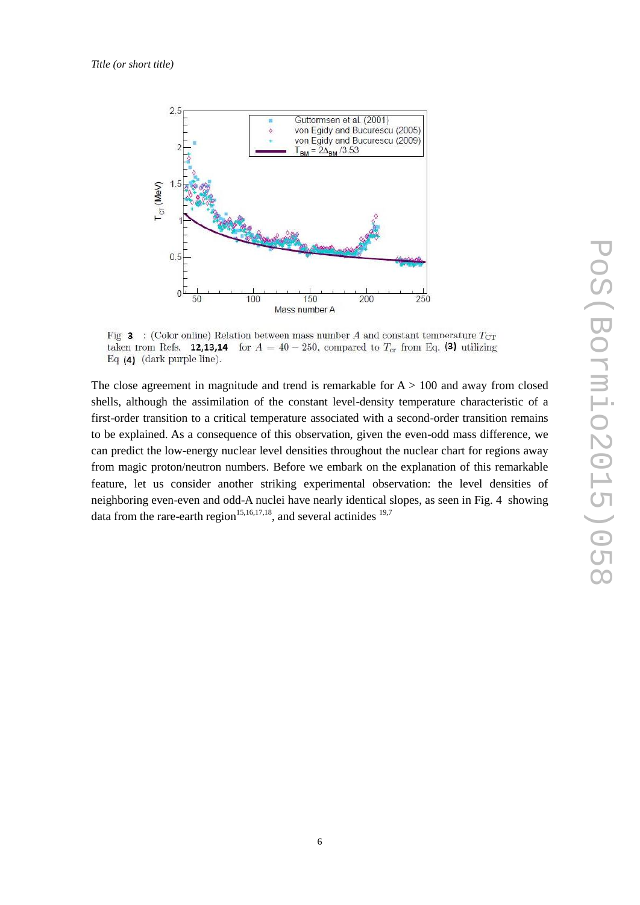

Fig. 3 : (Color online) Relation between mass number A and constant temperature  $T_{CT}$ taken from Refs. **12,13,14** for  $A = 40 - 250$ , compared to  $T_{cr}$  from Eq. (3) utilizing Eq (4) (dark purple line).

The close agreement in magnitude and trend is remarkable for  $A > 100$  and away from closed shells, although the assimilation of the constant level-density temperature characteristic of a first-order transition to a critical temperature associated with a second-order transition remains to be explained. As a consequence of this observation, given the even-odd mass difference, we can predict the low-energy nuclear level densities throughout the nuclear chart for regions away from magic proton/neutron numbers. Before we embark on the explanation of this remarkable feature, let us consider another striking experimental observation: the level densities of neighboring even-even and odd-A nuclei have nearly identical slopes, as seen in Fig. 4 showing data from the rare-earth region<sup>15,16,17,18</sup>, and several actinides  $19,7$  $19,7$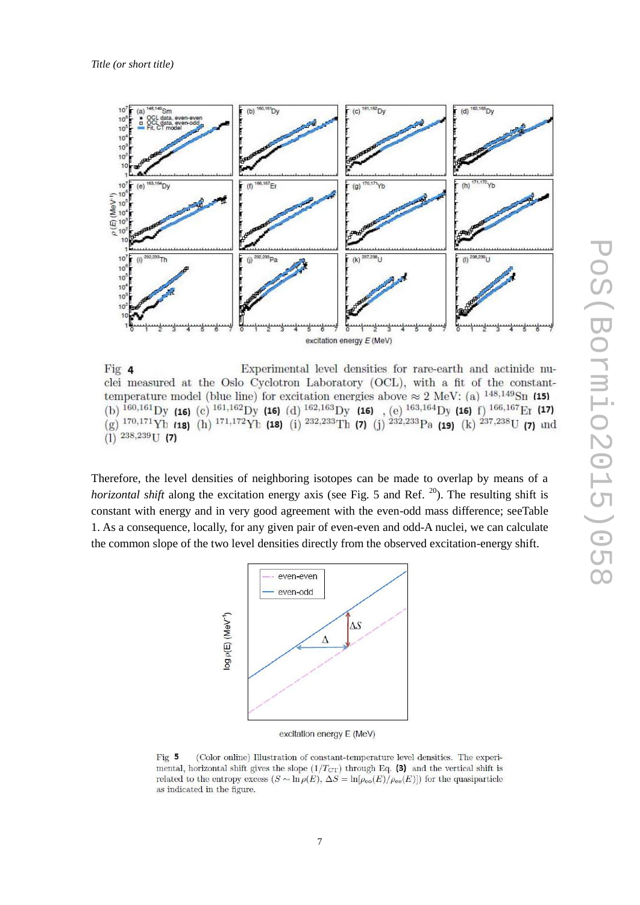

Experimental level densities for rare-earth and actinide nu-Fig 4 clei measured at the Oslo Cyclotron Laboratory (OCL), with a fit of the constanttemperature model (blue line) for excitation energies above  $\approx 2 \text{ MeV}$ : (a) <sup>148,149</sup>Sn (15) (b)  $^{160,161}$ Dy (16) (c)  $^{161,162}$ Dy (16) (d)  $^{162,163}$ Dy (16) (e)  $^{163,164}$ Dy (16) f)  $^{166,167}$ Er (17) (g)  $^{170,171}$ Yb (18) (h)  $^{171,172}$ Yb (18) (i)  $^{232,233}$ Th (7) (j)  $^{232,233}$ Pa (19) (k)  $^{237,238}$ U  $(1)$   $^{238,239}$ U (7)

Therefore, the level densities of neighboring isotopes can be made to overlap by means of a *horizontal shift* along the excitation energy axis (see Fig. 5 and Ref. <sup>20</sup>). The resulting shift is constant with energy and in very good agreement with the even-odd mass difference; seeTable 1. As a consequence, locally, for any given pair of even-even and odd-A nuclei, we can calculate the common slope of the two level densities directly from the observed excitation-energy shift.



excitation energy E (MeV)

Fig 5 (Color online) Illustration of constant-temperature level densities. The experimental, horizontal shift gives the slope  $(1/T_{\text{CT}})$  through Eq. (3) and the vertical shift is related to the entropy excess  $(S \sim \ln \rho(E), \Delta S = \ln[\rho_{\rm eo}(E)/\rho_{\rm ee}(E)])$  for the quasiparticle as indicated in the figure.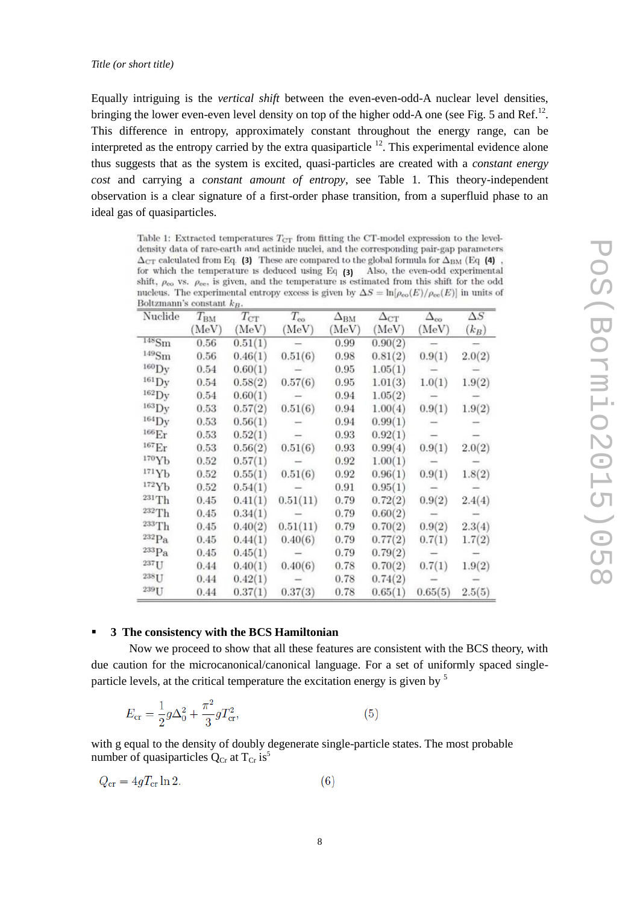Equally intriguing is the *vertical shift* between the even-even-odd-A nuclear level densities, bringing the lower even-even level density on top of the higher odd-A one (see Fig. 5 and Ref.<sup>[12](#page-4-1)</sup>. This difference in entropy, approximately constant throughout the energy range, can be interpreted as the entropy carried by the extra quasiparticle  $12$ . This experimental evidence alone thus suggests that as the system is excited, quasi-particles are created with a *constant energy cost* and carrying a *constant amount of entropy*, see Table 1. This theory-independent observation is a clear signature of a first-order phase transition, from a superfluid phase to an ideal gas of quasiparticles.

Table 1: Extracted temperatures  $T_{CT}$  from fitting the CT-model expression to the leveldensity data of rare-earth and actinide nuclei, and the corresponding pair-gap parameters  $\Delta_{\rm CT}$  calculated from Eq. (3) These are compared to the global formula for  $\Delta_{\rm BM}$  (Eq. (4) , for which the temperature is deduced using Eq  $(3)$  Also, the even-odd experimental shift,  $\rho_{\rm co}$  vs.  $\rho_{\rm ee}$ , is given, and the temperature is estimated from this shift for the odd nucleus. The experimental entropy excess is given by  $\Delta S = \ln[\rho_{\rm eo}(E)/\rho_{\rm ee}(E)]$  in units of Boltzmann's constant  $k_B$ 

| Nuclide             | $T_{\rm BM}$<br>MeV) | $T_{\rm CT}$<br>(MeV) | $T_{\rm eo}$<br>(MeV) | $\Delta_{\rm BM}$<br>MeV | $\Delta_{\mathrm{CT}}$<br>(MeV) | $\Delta_{\rm oo}$<br>(MeV) | $\Delta S$<br>$(k_B)$ |
|---------------------|----------------------|-----------------------|-----------------------|--------------------------|---------------------------------|----------------------------|-----------------------|
|                     |                      |                       |                       |                          |                                 |                            |                       |
| $^{149}\mathrm{Sm}$ | 0.56                 | 0.46(1)               | 0.51(6)               | 0.98                     | 0.81(2)                         | 0.9(1)                     | 2.0(2)                |
| $160$ Dy            | 0.54                 | 0.60(1)               |                       | 0.95                     | 1.05(1)                         |                            |                       |
| $^{161}$ Dy         | 0.54                 | 0.58(2)               | 0.57(6)               | 0.95                     | 1.01(3)                         | 1.0(1)                     | 1.9(2)                |
| $^{162}$ Dy         | 0.54                 | 0.60(1)               |                       | 0.94                     | 1.05(2)                         |                            |                       |
| $^{163}$ Dy         | 0.53                 | 0.57(2)               | 0.51(6)               | 0.94                     | 1.00(4)                         | 0.9(1)                     | 1.9(2)                |
| $^{164}$ Dy         | 0.53                 | 0.56(1)               |                       | 0.94                     | 0.99(1)                         |                            |                       |
| 166 <sub>Er</sub>   | 0.53                 | 0.52(1)               |                       | 0.93                     | 0.92(1)                         |                            |                       |
| 167 <sub>Er</sub>   | 0.53                 | 0.56(2)               | 0.51(6)               | 0.93                     | 0.99(4)                         | 0.9(1)                     | 2.0(2)                |
| 170Yb               | 0.52                 | 0.57(1)               |                       | 0.92                     | 1.00(1)                         |                            |                       |
| 171Yb               | 0.52                 | 0.55(1)               | 0.51(6)               | 0.92                     | 0.96(1)                         | 0.9(1)                     | 1.8(2)                |
| 172Yb               | 0.52                 | 0.54(1)               |                       | 0.91                     | 0.95(1)                         |                            |                       |
| $231$ Th            | 0.45                 | 0.41(1)               | 0.51(11)              | 0.79                     | 0.72(2)                         | 0.9(2)                     | 2.4(4)                |
| 232Th               | 0.45                 | 0.34(1)               |                       | 0.79                     | 0.60(2)                         |                            |                       |
| 233Th               | 0.45                 | 0.40(2)               | 0.51(11)              | 0.79                     | 0.70(2)                         | 0.9(2)                     | 2.3(4)                |
| $232P_a$            | 0.45                 | 0.44(1)               | 0.40(6)               | 0.79                     | 0.77(2)                         | 0.7(1)                     | 1.7(2)                |
| $233P_a$            | 0.45                 | 0.45(1)               |                       | 0.79                     | 0.79(2)                         |                            |                       |
| $237$ U             | 0.44                 | 0.40(1)               | 0.40(6)               | 0.78                     | 0.70(2)                         | 0.7(1)                     | 1.9(2)                |
| $238$ U             | 0.44                 | 0.42(1)               |                       | 0.78                     | 0.74(2)                         |                            |                       |
| 239U                | 0.44                 | 0.37(1)               | 0.37(3)               | 0.78                     | 0.65(1)                         | 0.65(5)                    | 2.5(5)                |

# POS(Bormio2015)05 PoS(Bormio2015)058

# **3 The consistency with the BCS Hamiltonian**

Now we proceed to show that all these features are consistent with the BCS theory, with due caution for the microcanonical/canonical language. For a set of uniformly spaced singleparticle levels, at the critical temperature the excitation energy is given by<sup>5</sup>

$$
E_{\rm cr} = \frac{1}{2}g\Delta_0^2 + \frac{\pi^2}{3}gT_{\rm cr}^2,\tag{5}
$$

with g equal to the density of doubly degenerate single-particle states. The most probable number of qua[s](#page-3-0)iparticles  $Q_{Cr}$  at  $T_{Cr}$  is<sup>5</sup>

$$
Q_{\rm cr} = 4gT_{\rm cr} \ln 2. \tag{6}
$$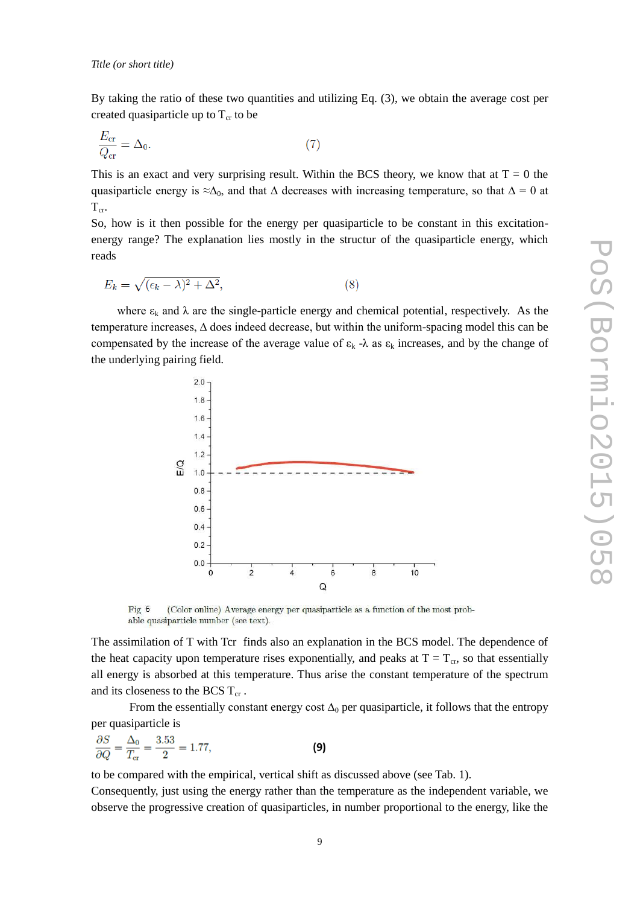By taking the ratio of these two quantities and utilizing Eq. (3), we obtain the average cost per created quasiparticle up to  $T_{cr}$  to be

$$
\frac{E_{\rm cr}}{Q_{\rm cr}} = \Delta_0. \tag{7}
$$

This is an exact and very surprising result. Within the BCS theory, we know that at  $T = 0$  the quasiparticle energy is  $\approx \Delta_0$ , and that  $\Delta$  decreases with increasing temperature, so that  $\Delta = 0$  at  $T_{cr}$ .

So, how is it then possible for the energy per quasiparticle to be constant in this excitationenergy range? The explanation lies mostly in the structur of the quasiparticle energy, which reads

$$
E_k = \sqrt{(\epsilon_k - \lambda)^2 + \Delta^2},\tag{8}
$$

where  $\varepsilon_k$  and  $\lambda$  are the single-particle energy and chemical potential, respectively. As the temperature increases, ∆ does indeed decrease, but within the uniform-spacing model this can be compensated by the increase of the average value of  $\varepsilon_k$  - $\lambda$  as  $\varepsilon_k$  increases, and by the change of the underlying pairing field.



(Color online) Average energy per quasiparticle as a function of the most prob- $Fig 6$ able quasiparticle number (see text).

The assimilation of T with Tcr finds also an explanation in the BCS model. The dependence of the heat capacity upon temperature rises exponentially, and peaks at  $T = T_{cr}$ , so that essentially all energy is absorbed at this temperature. Thus arise the constant temperature of the spectrum and its closeness to the BCS  $T_{cr}$ .

From the essentially constant energy cost  $\Delta_0$  per quasiparticle, it follows that the entropy per quasiparticle is

$$
\frac{\partial S}{\partial Q} = \frac{\Delta_0}{T_{\text{cr}}} = \frac{3.53}{2} = 1.77,
$$
 (9)

to be compared with the empirical, vertical shift as discussed above (see Tab. 1).

Consequently, just using the energy rather than the temperature as the independent variable, we observe the progressive creation of quasiparticles, in number proportional to the energy, like the